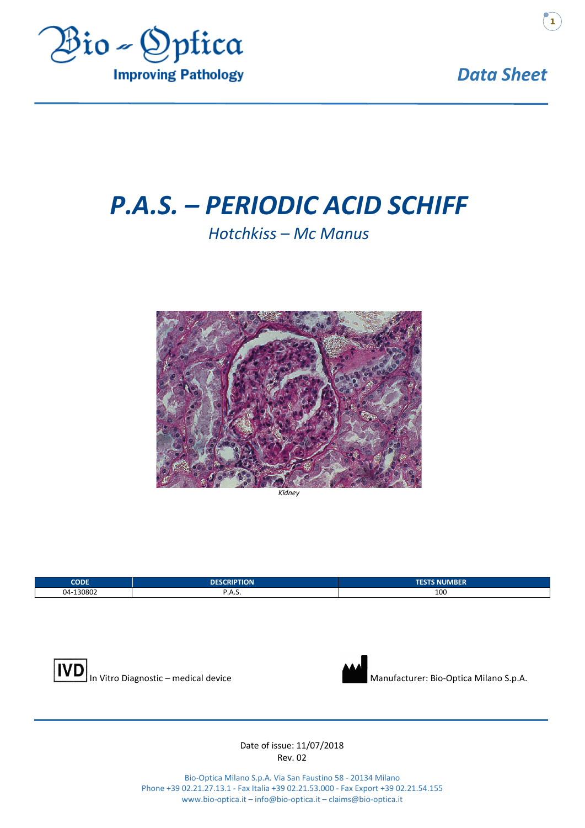

*Data Sheet*

**1**

# *P.A.S. – PERIODIC ACID SCHIFF*

## *Hotchkiss – Mc Manus*



*Kidney*

| <b>CODE</b>         | <b>DESCRIPTION</b> | <b>TESTS NUMBER</b> |
|---------------------|--------------------|---------------------|
| -130802<br>$04 - 1$ | .ר. .              | 100                 |





#### Date of issue: 11/07/2018 Rev. 02

Bio-Optica Milano S.p.A. Via San Faustino 58 - 20134 Milano Phone +39 02.21.27.13.1 - Fax Italia +39 02.21.53.000 - Fax Export +39 02.21.54.155 www.bio-optica.it – info@bio-optica.it – claims@bio-optica.it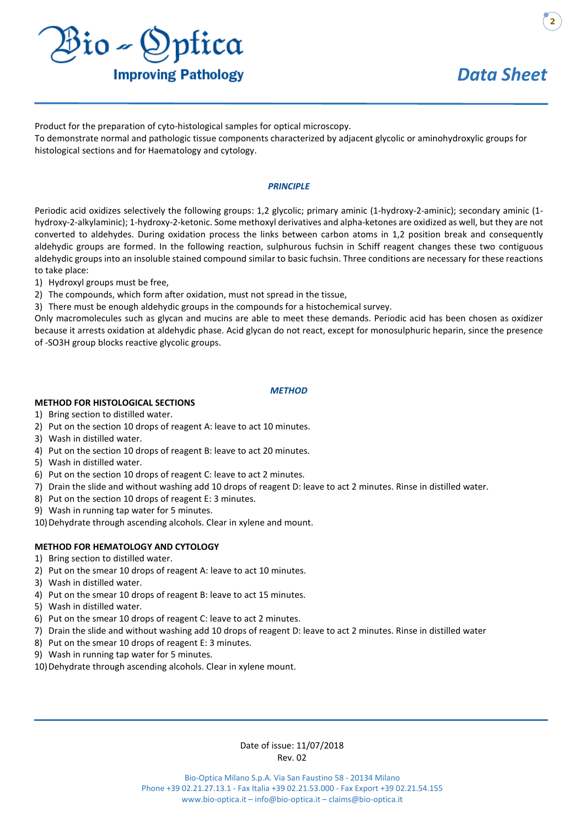

**2**

Product for the preparation of cyto-histological samples for optical microscopy.

To demonstrate normal and pathologic tissue components characterized by adjacent glycolic or aminohydroxylic groups for histological sections and for Haematology and cytology.

#### *PRINCIPLE*

Periodic acid oxidizes selectively the following groups: 1,2 glycolic; primary aminic (1-hydroxy-2-aminic); secondary aminic (1 hydroxy-2-alkylaminic); 1-hydroxy-2-ketonic. Some methoxyl derivatives and alpha-ketones are oxidized as well, but they are not converted to aldehydes. During oxidation process the links between carbon atoms in 1,2 position break and consequently aldehydic groups are formed. In the following reaction, sulphurous fuchsin in Schiff reagent changes these two contiguous aldehydic groups into an insoluble stained compound similar to basic fuchsin. Three conditions are necessary for these reactions to take place:

- 1) Hydroxyl groups must be free,
- 2) The compounds, which form after oxidation, must not spread in the tissue,
- 3) There must be enough aldehydic groups in the compounds for a histochemical survey.

Only macromolecules such as glycan and mucins are able to meet these demands. Periodic acid has been chosen as oxidizer because it arrests oxidation at aldehydic phase. Acid glycan do not react, except for monosulphuric heparin, since the presence of -SO3H group blocks reactive glycolic groups.

#### *METHOD*

#### **METHOD FOR HISTOLOGICAL SECTIONS**

- 1) Bring section to distilled water.
- 2) Put on the section 10 drops of reagent A: leave to act 10 minutes.
- 3) Wash in distilled water.
- 4) Put on the section 10 drops of reagent B: leave to act 20 minutes.
- 5) Wash in distilled water.
- 6) Put on the section 10 drops of reagent C: leave to act 2 minutes.
- 7) Drain the slide and without washing add 10 drops of reagent D: leave to act 2 minutes. Rinse in distilled water.
- 8) Put on the section 10 drops of reagent E: 3 minutes.
- 9) Wash in running tap water for 5 minutes.
- 10) Dehydrate through ascending alcohols. Clear in xylene and mount.

#### **METHOD FOR HEMATOLOGY AND CYTOLOGY**

- 1) Bring section to distilled water.
- 2) Put on the smear 10 drops of reagent A: leave to act 10 minutes.
- 3) Wash in distilled water.
- 4) Put on the smear 10 drops of reagent B: leave to act 15 minutes.
- 5) Wash in distilled water.
- 6) Put on the smear 10 drops of reagent C: leave to act 2 minutes.
- 7) Drain the slide and without washing add 10 drops of reagent D: leave to act 2 minutes. Rinse in distilled water
- 8) Put on the smear 10 drops of reagent E: 3 minutes.
- 9) Wash in running tap water for 5 minutes.
- 10) Dehydrate through ascending alcohols. Clear in xylene mount.

#### Date of issue: 11/07/2018 Rev. 02